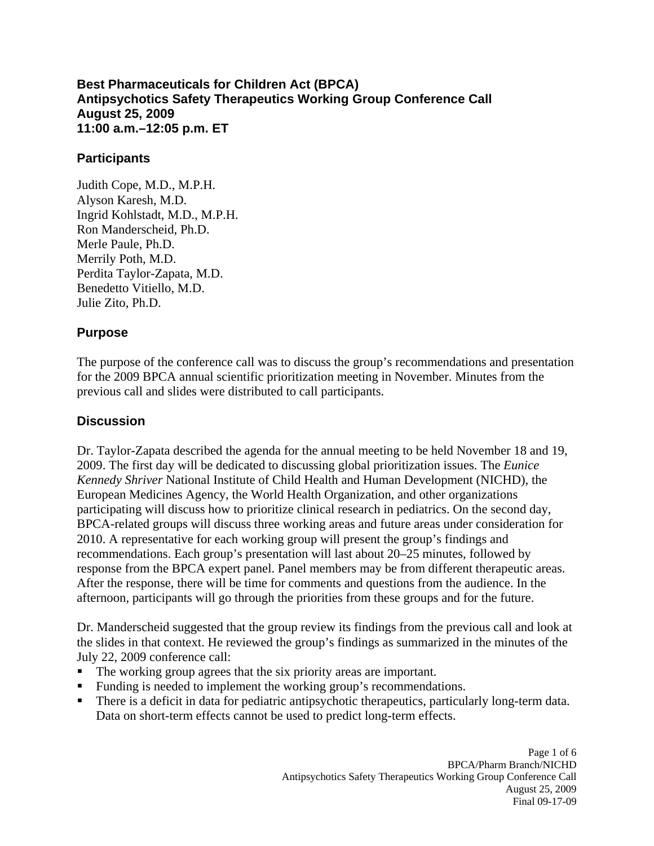**Best Pharmaceuticals for Children Act (BPCA) Antipsychotics Safety Therapeutics Working Group Conference Call August 25, 2009 11:00 a.m.–12:05 p.m. ET** 

## **Participants**

Judith Cope, M.D., M.P.H. Alyson Karesh, M.D. Ingrid Kohlstadt, M.D., M.P.H. Ron Manderscheid, Ph.D. Merle Paule, Ph.D. Merrily Poth, M.D. Perdita Taylor-Zapata, M.D. Benedetto Vitiello, M.D. Julie Zito, Ph.D.

## **Purpose**

The purpose of the conference call was to discuss the group's recommendations and presentation for the 2009 BPCA annual scientific prioritization meeting in November. Minutes from the previous call and slides were distributed to call participants.

## **Discussion**

Dr. Taylor-Zapata described the agenda for the annual meeting to be held November 18 and 19, 2009. The first day will be dedicated to discussing global prioritization issues. The *Eunice Kennedy Shriver* National Institute of Child Health and Human Development (NICHD), the European Medicines Agency, the World Health Organization, and other organizations participating will discuss how to prioritize clinical research in pediatrics. On the second day, BPCA-related groups will discuss three working areas and future areas under consideration for 2010. A representative for each working group will present the group's findings and recommendations. Each group's presentation will last about 20–25 minutes, followed by response from the BPCA expert panel. Panel members may be from different therapeutic areas. After the response, there will be time for comments and questions from the audience. In the afternoon, participants will go through the priorities from these groups and for the future.

Dr. Manderscheid suggested that the group review its findings from the previous call and look at the slides in that context. He reviewed the group's findings as summarized in the minutes of the July 22, 2009 conference call:

- The working group agrees that the six priority areas are important.
- Funding is needed to implement the working group's recommendations.
- There is a deficit in data for pediatric antipsychotic therapeutics, particularly long-term data. Data on short-term effects cannot be used to predict long-term effects.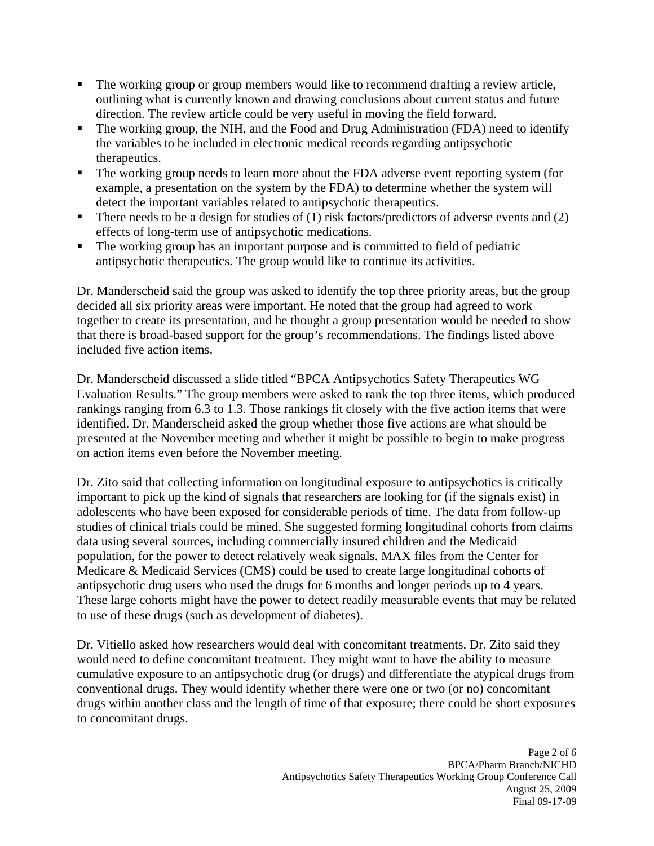- The working group or group members would like to recommend drafting a review article, outlining what is currently known and drawing conclusions about current status and future direction. The review article could be very useful in moving the field forward.
- The working group, the NIH, and the Food and Drug Administration (FDA) need to identify the variables to be included in electronic medical records regarding antipsychotic therapeutics.
- The working group needs to learn more about the FDA adverse event reporting system (for example, a presentation on the system by the FDA) to determine whether the system will detect the important variables related to antipsychotic therapeutics.
- There needs to be a design for studies of  $(1)$  risk factors/predictors of adverse events and  $(2)$ effects of long-term use of antipsychotic medications.
- The working group has an important purpose and is committed to field of pediatric antipsychotic therapeutics. The group would like to continue its activities.

Dr. Manderscheid said the group was asked to identify the top three priority areas, but the group decided all six priority areas were important. He noted that the group had agreed to work together to create its presentation, and he thought a group presentation would be needed to show that there is broad-based support for the group's recommendations. The findings listed above included five action items.

Dr. Manderscheid discussed a slide titled "BPCA Antipsychotics Safety Therapeutics WG Evaluation Results." The group members were asked to rank the top three items, which produced rankings ranging from 6.3 to 1.3. Those rankings fit closely with the five action items that were identified. Dr. Manderscheid asked the group whether those five actions are what should be presented at the November meeting and whether it might be possible to begin to make progress on action items even before the November meeting.

Dr. Zito said that collecting information on longitudinal exposure to antipsychotics is critically important to pick up the kind of signals that researchers are looking for (if the signals exist) in adolescents who have been exposed for considerable periods of time. The data from follow-up studies of clinical trials could be mined. She suggested forming longitudinal cohorts from claims data using several sources, including commercially insured children and the Medicaid population, for the power to detect relatively weak signals. MAX files from the Center for Medicare & Medicaid Services (CMS) could be used to create large longitudinal cohorts of antipsychotic drug users who used the drugs for 6 months and longer periods up to 4 years. These large cohorts might have the power to detect readily measurable events that may be related to use of these drugs (such as development of diabetes).

Dr. Vitiello asked how researchers would deal with concomitant treatments. Dr. Zito said they would need to define concomitant treatment. They might want to have the ability to measure cumulative exposure to an antipsychotic drug (or drugs) and differentiate the atypical drugs from conventional drugs. They would identify whether there were one or two (or no) concomitant drugs within another class and the length of time of that exposure; there could be short exposures to concomitant drugs.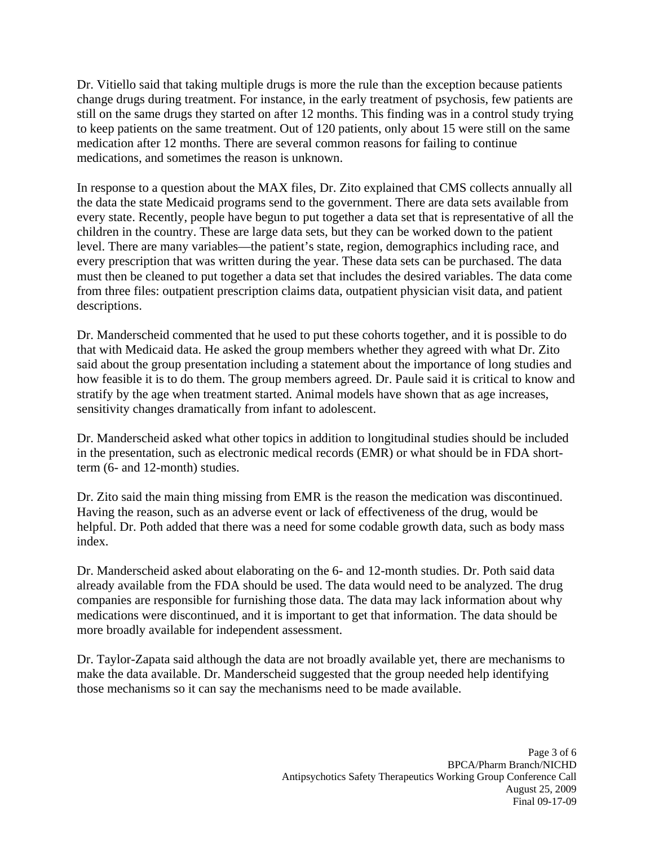Dr. Vitiello said that taking multiple drugs is more the rule than the exception because patients change drugs during treatment. For instance, in the early treatment of psychosis, few patients are still on the same drugs they started on after 12 months. This finding was in a control study trying to keep patients on the same treatment. Out of 120 patients, only about 15 were still on the same medication after 12 months. There are several common reasons for failing to continue medications, and sometimes the reason is unknown.

In response to a question about the MAX files, Dr. Zito explained that CMS collects annually all the data the state Medicaid programs send to the government. There are data sets available from every state. Recently, people have begun to put together a data set that is representative of all the children in the country. These are large data sets, but they can be worked down to the patient level. There are many variables—the patient's state, region, demographics including race, and every prescription that was written during the year. These data sets can be purchased. The data must then be cleaned to put together a data set that includes the desired variables. The data come from three files: outpatient prescription claims data, outpatient physician visit data, and patient descriptions.

Dr. Manderscheid commented that he used to put these cohorts together, and it is possible to do that with Medicaid data. He asked the group members whether they agreed with what Dr. Zito said about the group presentation including a statement about the importance of long studies and how feasible it is to do them. The group members agreed. Dr. Paule said it is critical to know and stratify by the age when treatment started. Animal models have shown that as age increases, sensitivity changes dramatically from infant to adolescent.

Dr. Manderscheid asked what other topics in addition to longitudinal studies should be included in the presentation, such as electronic medical records (EMR) or what should be in FDA shortterm (6- and 12-month) studies.

Dr. Zito said the main thing missing from EMR is the reason the medication was discontinued. Having the reason, such as an adverse event or lack of effectiveness of the drug, would be helpful. Dr. Poth added that there was a need for some codable growth data, such as body mass index.

Dr. Manderscheid asked about elaborating on the 6- and 12-month studies. Dr. Poth said data already available from the FDA should be used. The data would need to be analyzed. The drug companies are responsible for furnishing those data. The data may lack information about why medications were discontinued, and it is important to get that information. The data should be more broadly available for independent assessment.

Dr. Taylor-Zapata said although the data are not broadly available yet, there are mechanisms to make the data available. Dr. Manderscheid suggested that the group needed help identifying those mechanisms so it can say the mechanisms need to be made available.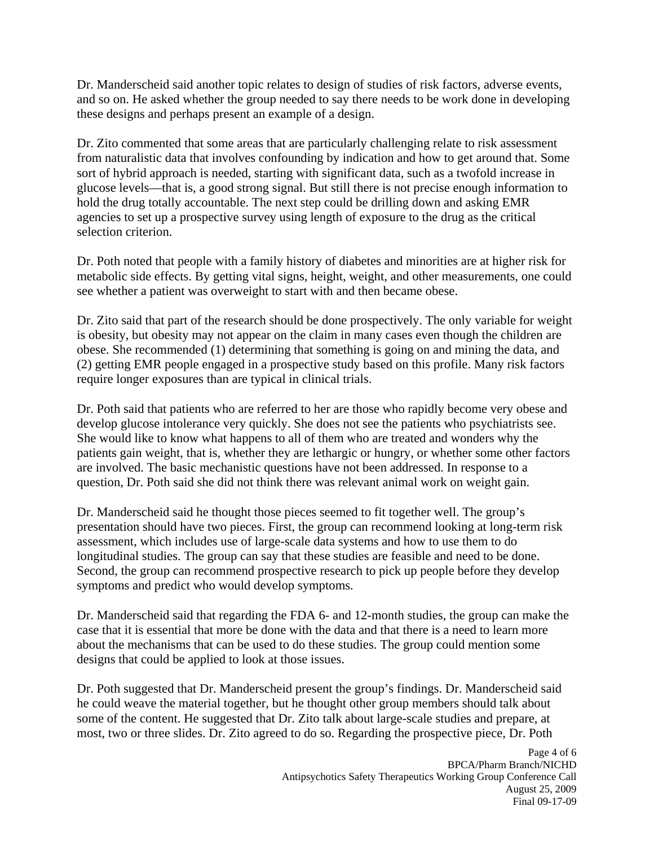Dr. Manderscheid said another topic relates to design of studies of risk factors, adverse events, and so on. He asked whether the group needed to say there needs to be work done in developing these designs and perhaps present an example of a design.

Dr. Zito commented that some areas that are particularly challenging relate to risk assessment from naturalistic data that involves confounding by indication and how to get around that. Some sort of hybrid approach is needed, starting with significant data, such as a twofold increase in glucose levels—that is, a good strong signal. But still there is not precise enough information to hold the drug totally accountable. The next step could be drilling down and asking EMR agencies to set up a prospective survey using length of exposure to the drug as the critical selection criterion.

Dr. Poth noted that people with a family history of diabetes and minorities are at higher risk for metabolic side effects. By getting vital signs, height, weight, and other measurements, one could see whether a patient was overweight to start with and then became obese.

Dr. Zito said that part of the research should be done prospectively. The only variable for weight is obesity, but obesity may not appear on the claim in many cases even though the children are obese. She recommended (1) determining that something is going on and mining the data, and (2) getting EMR people engaged in a prospective study based on this profile. Many risk factors require longer exposures than are typical in clinical trials.

Dr. Poth said that patients who are referred to her are those who rapidly become very obese and develop glucose intolerance very quickly. She does not see the patients who psychiatrists see. She would like to know what happens to all of them who are treated and wonders why the patients gain weight, that is, whether they are lethargic or hungry, or whether some other factors are involved. The basic mechanistic questions have not been addressed. In response to a question, Dr. Poth said she did not think there was relevant animal work on weight gain.

Dr. Manderscheid said he thought those pieces seemed to fit together well. The group's presentation should have two pieces. First, the group can recommend looking at long-term risk assessment, which includes use of large-scale data systems and how to use them to do longitudinal studies. The group can say that these studies are feasible and need to be done. Second, the group can recommend prospective research to pick up people before they develop symptoms and predict who would develop symptoms.

Dr. Manderscheid said that regarding the FDA 6- and 12-month studies, the group can make the case that it is essential that more be done with the data and that there is a need to learn more about the mechanisms that can be used to do these studies. The group could mention some designs that could be applied to look at those issues.

Dr. Poth suggested that Dr. Manderscheid present the group's findings. Dr. Manderscheid said he could weave the material together, but he thought other group members should talk about some of the content. He suggested that Dr. Zito talk about large-scale studies and prepare, at most, two or three slides. Dr. Zito agreed to do so. Regarding the prospective piece, Dr. Poth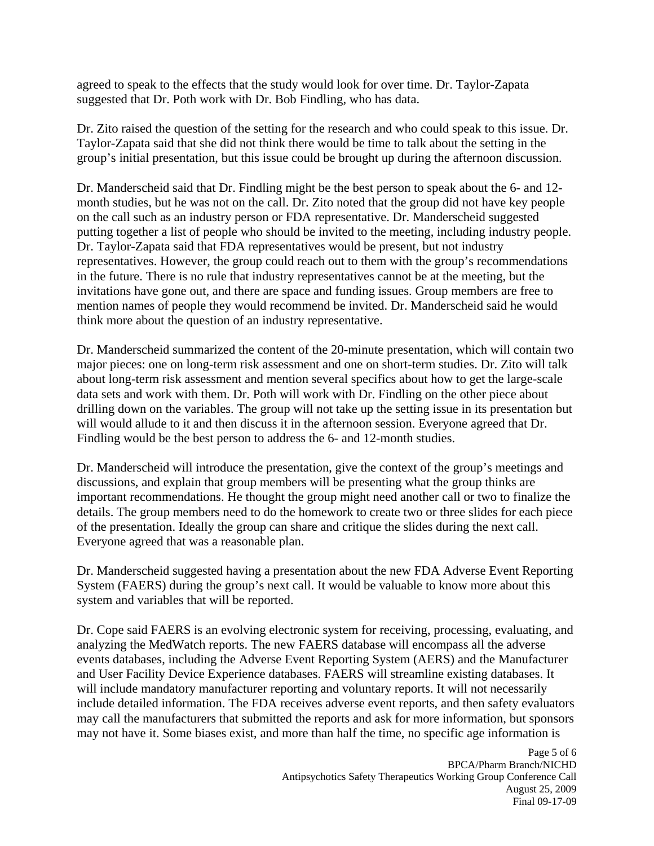agreed to speak to the effects that the study would look for over time. Dr. Taylor-Zapata suggested that Dr. Poth work with Dr. Bob Findling, who has data.

Dr. Zito raised the question of the setting for the research and who could speak to this issue. Dr. Taylor-Zapata said that she did not think there would be time to talk about the setting in the group's initial presentation, but this issue could be brought up during the afternoon discussion.

Dr. Manderscheid said that Dr. Findling might be the best person to speak about the 6- and 12 month studies, but he was not on the call. Dr. Zito noted that the group did not have key people on the call such as an industry person or FDA representative. Dr. Manderscheid suggested putting together a list of people who should be invited to the meeting, including industry people. Dr. Taylor-Zapata said that FDA representatives would be present, but not industry representatives. However, the group could reach out to them with the group's recommendations in the future. There is no rule that industry representatives cannot be at the meeting, but the invitations have gone out, and there are space and funding issues. Group members are free to mention names of people they would recommend be invited. Dr. Manderscheid said he would think more about the question of an industry representative.

Dr. Manderscheid summarized the content of the 20-minute presentation, which will contain two major pieces: one on long-term risk assessment and one on short-term studies. Dr. Zito will talk about long-term risk assessment and mention several specifics about how to get the large-scale data sets and work with them. Dr. Poth will work with Dr. Findling on the other piece about drilling down on the variables. The group will not take up the setting issue in its presentation but will would allude to it and then discuss it in the afternoon session. Everyone agreed that Dr. Findling would be the best person to address the 6- and 12-month studies.

Dr. Manderscheid will introduce the presentation, give the context of the group's meetings and discussions, and explain that group members will be presenting what the group thinks are important recommendations. He thought the group might need another call or two to finalize the details. The group members need to do the homework to create two or three slides for each piece of the presentation. Ideally the group can share and critique the slides during the next call. Everyone agreed that was a reasonable plan.

Dr. Manderscheid suggested having a presentation about the new FDA Adverse Event Reporting System (FAERS) during the group's next call. It would be valuable to know more about this system and variables that will be reported.

Dr. Cope said FAERS is an evolving electronic system for receiving, processing, evaluating, and analyzing the MedWatch reports. The new FAERS database will encompass all the adverse events databases, including the Adverse Event Reporting System (AERS) and the Manufacturer and User Facility Device Experience databases. FAERS will streamline existing databases. It will include mandatory manufacturer reporting and voluntary reports. It will not necessarily include detailed information. The FDA receives adverse event reports, and then safety evaluators may call the manufacturers that submitted the reports and ask for more information, but sponsors may not have it. Some biases exist, and more than half the time, no specific age information is